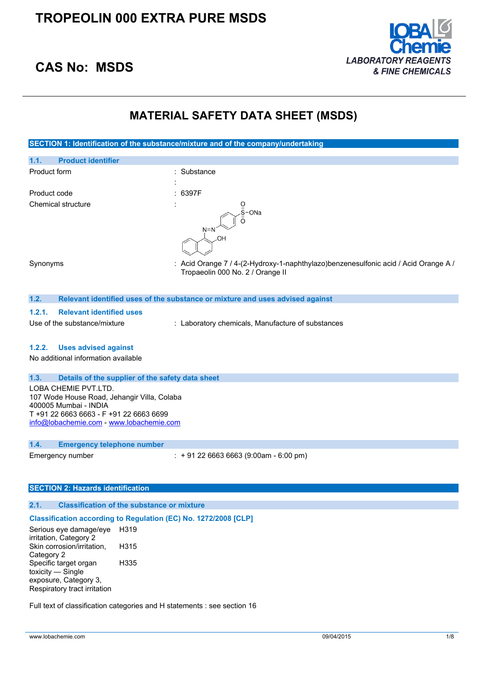

# **CAS No: MSDS**

## **MATERIAL SAFETY DATA SHEET (MSDS)**

|              |                                 | MAIERIAL SAFEI I DATA SHEEI (MSDS)                                                                                          |
|--------------|---------------------------------|-----------------------------------------------------------------------------------------------------------------------------|
|              |                                 |                                                                                                                             |
|              |                                 | SECTION 1: Identification of the substance/mixture and of the company/undertaking                                           |
| 1.1.         | <b>Product identifier</b>       |                                                                                                                             |
| Product form |                                 | : Substance                                                                                                                 |
| Product code |                                 | : 6397F                                                                                                                     |
|              | Chemical structure              | $S$ -ONa<br>$N=N$<br>.OH                                                                                                    |
| Synonyms     |                                 | : Acid Orange 7 / 4-(2-Hydroxy-1-naphthylazo)benzenesulfonic acid / Acid Orange A $\mu$<br>Tropaeolin 000 No. 2 / Orange II |
| 1.2.         |                                 | Relevant identified uses of the substance or mixture and uses advised against                                               |
| 1.2.1.       | <b>Relevant identified uses</b> |                                                                                                                             |
|              | Use of the substance/mixture    | : Laboratory chemicals, Manufacture of substances                                                                           |
| 1.2.2.       | <b>Uses advised against</b>     |                                                                                                                             |

No additional information available

#### **1.3. Details of the supplier of the safety data sheet**

LOBA CHEMIE PVT.LTD. 107 Wode House Road, Jehangir Villa, Colaba 400005 Mumbai - INDIA T +91 22 6663 6663 - F +91 22 6663 6699 [info@lobachemie.com](mailto:info@lobachemie.com) - <www.lobachemie.com>

### **1.4. Emergency telephone number**

Emergency number : + 91 22 6663 6663 (9:00am - 6:00 pm)

### **SECTION 2: Hazards identification**

## **2.1. Classification of the substance or mixture**

#### **Classification according to Regulation (EC) No. 1272/2008 [CLP]**

Serious eye damage/eye H319 irritation, Category 2 Skin corrosion/irritation, Category 2 H315 Specific target organ toxicity — Single exposure, Category 3, Respiratory tract irritation H335

Full text of classification categories and H statements : see section 16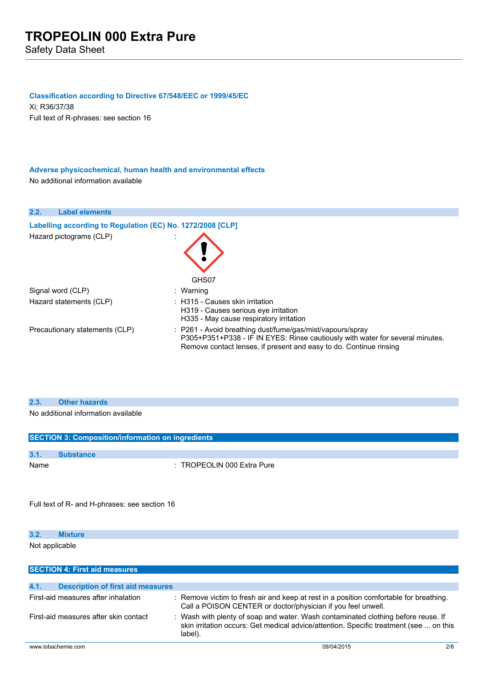#### **Classification according to Directive 67/548/EEC or 1999/45/EC**

Xi; R36/37/38 Full text of R-phrases: see section 16

### **Adverse physicochemical, human health and environmental effects** No additional information available

#### **2.2. Label elements**

| Labelling according to Regulation (EC) No. 1272/2008 [CLP] |                                                                                                                                                                                                                             |
|------------------------------------------------------------|-----------------------------------------------------------------------------------------------------------------------------------------------------------------------------------------------------------------------------|
| Hazard pictograms (CLP)                                    | GHS07                                                                                                                                                                                                                       |
| Signal word (CLP)                                          | : Warning                                                                                                                                                                                                                   |
| Hazard statements (CLP)                                    | : H315 - Causes skin irritation<br>H319 - Causes serious eye irritation<br>H335 - May cause respiratory irritation                                                                                                          |
| Precautionary statements (CLP)                             | $\therefore$ P261 - Avoid breathing dust/fume/gas/mist/vapours/spray<br>P305+P351+P338 - IF IN EYES: Rinse cautiously with water for several minutes.<br>Remove contact lenses, if present and easy to do. Continue rinsing |

### **2.3. Other hazards**

No additional information available

| <b>SECTION 3: Composition/information on ingredients</b> |                                       |  |
|----------------------------------------------------------|---------------------------------------|--|
|                                                          |                                       |  |
| 3.1.                                                     | <b>Substance</b>                      |  |
| Name                                                     | $\therefore$ TROPEOLIN 000 Extra Pure |  |
|                                                          |                                       |  |

Full text of R- and H-phrases: see section 16

| <b>Mixture</b> |  |
|----------------|--|
| .              |  |

Not applicable

| <b>SECTION 4: First aid measures</b>             |                                                                                                                                                                                        |     |
|--------------------------------------------------|----------------------------------------------------------------------------------------------------------------------------------------------------------------------------------------|-----|
|                                                  |                                                                                                                                                                                        |     |
| 4.1.<br><b>Description of first aid measures</b> |                                                                                                                                                                                        |     |
| First-aid measures after inhalation              | : Remove victim to fresh air and keep at rest in a position comfortable for breathing.<br>Call a POISON CENTER or doctor/physician if you feel unwell.                                 |     |
| First-aid measures after skin contact            | : Wash with plenty of soap and water. Wash contaminated clothing before reuse. If<br>skin irritation occurs: Get medical advice/attention. Specific treatment (see  on this<br>label). |     |
| www.lobachemie.com                               | 09/04/2015                                                                                                                                                                             | 2/8 |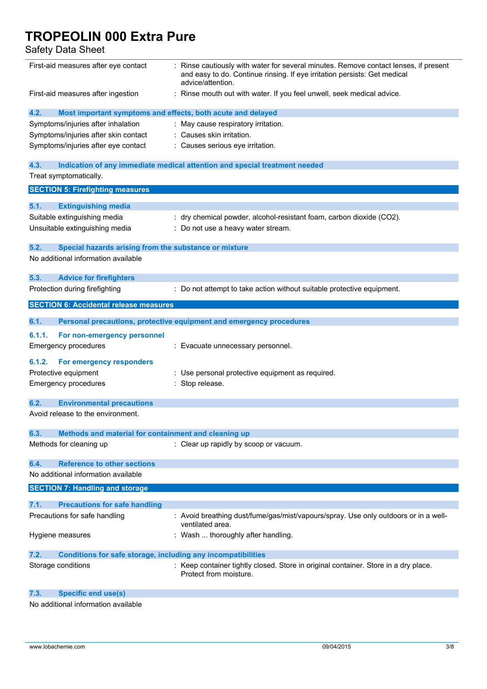Safety Data Sheet

| First-aid measures after eye contact                                        | : Rinse cautiously with water for several minutes. Remove contact lenses, if present<br>and easy to do. Continue rinsing. If eye irritation persists: Get medical<br>advice/attention. |
|-----------------------------------------------------------------------------|----------------------------------------------------------------------------------------------------------------------------------------------------------------------------------------|
| First-aid measures after ingestion                                          | : Rinse mouth out with water. If you feel unwell, seek medical advice.                                                                                                                 |
| 4.2.<br>Most important symptoms and effects, both acute and delayed         |                                                                                                                                                                                        |
| Symptoms/injuries after inhalation                                          | : May cause respiratory irritation.                                                                                                                                                    |
| Symptoms/injuries after skin contact                                        | : Causes skin irritation.                                                                                                                                                              |
| Symptoms/injuries after eye contact                                         | : Causes serious eye irritation.                                                                                                                                                       |
| 4.3.                                                                        | Indication of any immediate medical attention and special treatment needed                                                                                                             |
| Treat symptomatically.                                                      |                                                                                                                                                                                        |
| <b>SECTION 5: Firefighting measures</b>                                     |                                                                                                                                                                                        |
| 5.1.<br><b>Extinguishing media</b>                                          |                                                                                                                                                                                        |
| Suitable extinguishing media                                                | : dry chemical powder, alcohol-resistant foam, carbon dioxide (CO2).                                                                                                                   |
| Unsuitable extinguishing media                                              | : Do not use a heavy water stream.                                                                                                                                                     |
|                                                                             |                                                                                                                                                                                        |
| 5.2.<br>Special hazards arising from the substance or mixture               |                                                                                                                                                                                        |
| No additional information available                                         |                                                                                                                                                                                        |
| 5.3.<br><b>Advice for firefighters</b>                                      |                                                                                                                                                                                        |
| Protection during firefighting                                              | : Do not attempt to take action without suitable protective equipment.                                                                                                                 |
| <b>SECTION 6: Accidental release measures</b>                               |                                                                                                                                                                                        |
| 6.1.                                                                        | Personal precautions, protective equipment and emergency procedures                                                                                                                    |
| 6.1.1.<br>For non-emergency personnel                                       |                                                                                                                                                                                        |
| <b>Emergency procedures</b>                                                 | : Evacuate unnecessary personnel.                                                                                                                                                      |
|                                                                             |                                                                                                                                                                                        |
| 6.1.2.<br>For emergency responders                                          |                                                                                                                                                                                        |
| Protective equipment                                                        | : Use personal protective equipment as required.                                                                                                                                       |
| <b>Emergency procedures</b>                                                 | : Stop release.                                                                                                                                                                        |
| 6.2.<br><b>Environmental precautions</b>                                    |                                                                                                                                                                                        |
| Avoid release to the environment.                                           |                                                                                                                                                                                        |
| 6.3.<br>Methods and material for containment and cleaning up                |                                                                                                                                                                                        |
| Methods for cleaning up                                                     | : Clear up rapidly by scoop or vacuum.                                                                                                                                                 |
| <b>Reference to other sections</b><br>6.4.                                  |                                                                                                                                                                                        |
| No additional information available                                         |                                                                                                                                                                                        |
| <b>SECTION 7: Handling and storage</b>                                      |                                                                                                                                                                                        |
| 7.1.<br><b>Precautions for safe handling</b>                                |                                                                                                                                                                                        |
| Precautions for safe handling                                               | : Avoid breathing dust/fume/gas/mist/vapours/spray. Use only outdoors or in a well-<br>ventilated area.                                                                                |
| Hygiene measures                                                            | : Wash  thoroughly after handling.                                                                                                                                                     |
| 7.2.<br><b>Conditions for safe storage, including any incompatibilities</b> |                                                                                                                                                                                        |
| Storage conditions                                                          | : Keep container tightly closed. Store in original container. Store in a dry place.<br>Protect from moisture.                                                                          |
| <b>Specific end use(s)</b><br>7.3.                                          |                                                                                                                                                                                        |

No additional information available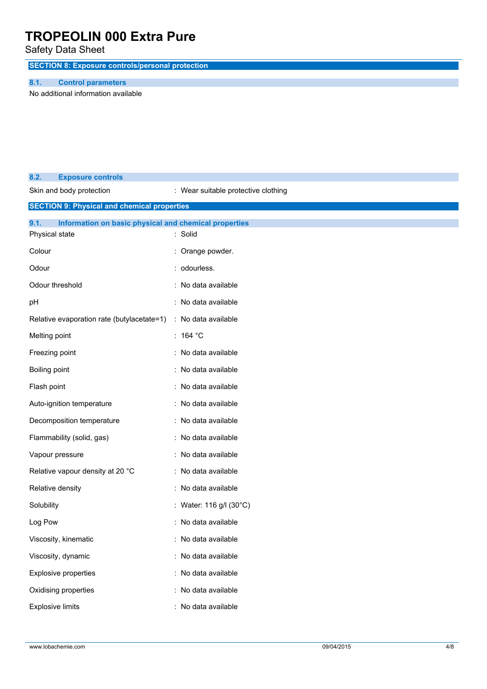Safety Data Sheet

**SECTION 8: Exposure controls/personal protection**

## **8.1. Control parameters**

No additional information available

| 8.2.                    | <b>Exposure controls</b>                              |                                     |
|-------------------------|-------------------------------------------------------|-------------------------------------|
|                         | Skin and body protection                              | : Wear suitable protective clothing |
|                         | <b>SECTION 9: Physical and chemical properties</b>    |                                     |
| 9.1.                    | Information on basic physical and chemical properties |                                     |
| Physical state          |                                                       | : Solid                             |
| Colour                  |                                                       | Orange powder.                      |
| Odour                   |                                                       | : odourless.                        |
| Odour threshold         |                                                       | : No data available                 |
| pH                      |                                                       | : No data available                 |
|                         | Relative evaporation rate (butylacetate=1)            | : No data available                 |
| Melting point           |                                                       | : 164 $^{\circ}$ C                  |
| Freezing point          |                                                       | No data available                   |
| Boiling point           |                                                       | : No data available                 |
| Flash point             |                                                       | No data available                   |
|                         | Auto-ignition temperature                             | : No data available                 |
|                         | Decomposition temperature                             | : No data available                 |
|                         | Flammability (solid, gas)                             | : No data available                 |
| Vapour pressure         |                                                       | : No data available                 |
|                         | Relative vapour density at 20 °C                      | : No data available                 |
| Relative density        |                                                       | : No data available                 |
| Solubility              |                                                       | : Water: 116 g/l (30°C)             |
| Log Pow                 |                                                       | : No data available                 |
|                         | Viscosity, kinematic                                  | : No data available                 |
|                         | Viscosity, dynamic                                    | : No data available                 |
|                         | Explosive properties                                  | : No data available                 |
|                         | Oxidising properties                                  | : No data available                 |
| <b>Explosive limits</b> |                                                       | : No data available                 |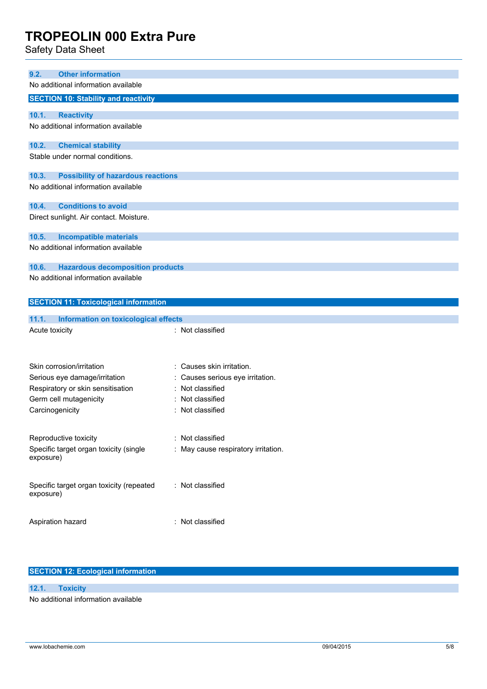Safety Data Sheet

| 9.2.                                | <b>Other information</b>                     |                                   |  |  |  |
|-------------------------------------|----------------------------------------------|-----------------------------------|--|--|--|
| No additional information available |                                              |                                   |  |  |  |
|                                     | <b>SECTION 10: Stability and reactivity</b>  |                                   |  |  |  |
| 10.1.                               | <b>Reactivity</b>                            |                                   |  |  |  |
|                                     | No additional information available          |                                   |  |  |  |
| 10.2.                               | <b>Chemical stability</b>                    |                                   |  |  |  |
|                                     | Stable under normal conditions.              |                                   |  |  |  |
| 10.3.                               | <b>Possibility of hazardous reactions</b>    |                                   |  |  |  |
|                                     | No additional information available          |                                   |  |  |  |
| 10.4.                               | <b>Conditions to avoid</b>                   |                                   |  |  |  |
|                                     | Direct sunlight. Air contact. Moisture.      |                                   |  |  |  |
| 10.5.                               | <b>Incompatible materials</b>                |                                   |  |  |  |
|                                     | No additional information available          |                                   |  |  |  |
| 10.6.                               | <b>Hazardous decomposition products</b>      |                                   |  |  |  |
|                                     | No additional information available          |                                   |  |  |  |
|                                     |                                              |                                   |  |  |  |
|                                     | <b>SECTION 11: Toxicological information</b> |                                   |  |  |  |
|                                     |                                              |                                   |  |  |  |
| 11.1.                               | Information on toxicological effects         |                                   |  |  |  |
| Acute toxicity                      |                                              | : Not classified                  |  |  |  |
|                                     |                                              |                                   |  |  |  |
|                                     |                                              |                                   |  |  |  |
|                                     | Skin corrosion/irritation                    | : Causes skin irritation.         |  |  |  |
|                                     | Serious eye damage/irritation                | : Causes serious eye irritation.  |  |  |  |
|                                     | Respiratory or skin sensitisation            | Not classified                    |  |  |  |
|                                     | Germ cell mutagenicity                       | Not classified                    |  |  |  |
|                                     | Carcinogenicity                              | Not classified                    |  |  |  |
|                                     | Reproductive toxicity                        | : Not classified                  |  |  |  |
|                                     | Specific target organ toxicity (single       | May cause respiratory irritation. |  |  |  |
| exposure)                           |                                              |                                   |  |  |  |
|                                     | Specific target organ toxicity (repeated     | : Not classified                  |  |  |  |
| exposure)                           |                                              |                                   |  |  |  |
|                                     | Aspiration hazard                            | : Not classified                  |  |  |  |

## **SECTION 12: Ecological information**

**12.1. Toxicity**

No additional information available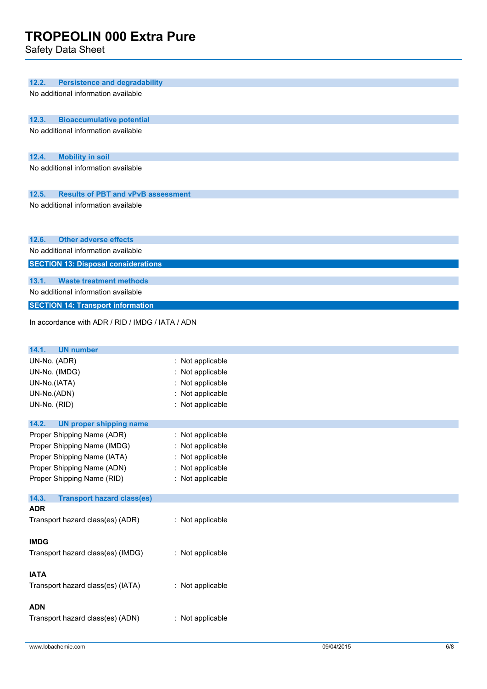Safety Data Sheet

| 12.2.<br><b>Persistence and degradability</b>      |                  |  |  |  |
|----------------------------------------------------|------------------|--|--|--|
| No additional information available                |                  |  |  |  |
| 12.3.<br><b>Bioaccumulative potential</b>          |                  |  |  |  |
| No additional information available                |                  |  |  |  |
| 12.4.<br><b>Mobility in soil</b>                   |                  |  |  |  |
| No additional information available                |                  |  |  |  |
|                                                    |                  |  |  |  |
| 12.5.<br><b>Results of PBT and vPvB assessment</b> |                  |  |  |  |
| No additional information available                |                  |  |  |  |
| 12.6.<br><b>Other adverse effects</b>              |                  |  |  |  |
| No additional information available                |                  |  |  |  |
| <b>SECTION 13: Disposal considerations</b>         |                  |  |  |  |
| 13.1.<br><b>Waste treatment methods</b>            |                  |  |  |  |
| No additional information available                |                  |  |  |  |
| <b>SECTION 14: Transport information</b>           |                  |  |  |  |
| In accordance with ADR / RID / IMDG / IATA / ADN   |                  |  |  |  |
| 14.1.<br><b>UN number</b>                          |                  |  |  |  |
| UN-No. (ADR)                                       | : Not applicable |  |  |  |
| UN-No. (IMDG)                                      | : Not applicable |  |  |  |
| UN-No.(IATA)                                       | : Not applicable |  |  |  |
| UN-No.(ADN)                                        | Not applicable   |  |  |  |
| UN-No. (RID)                                       | : Not applicable |  |  |  |
| 14.2.<br><b>UN proper shipping name</b>            |                  |  |  |  |
| Proper Shipping Name (ADR)                         | : Not applicable |  |  |  |
| Proper Shipping Name (IMDG)                        | : Not applicable |  |  |  |
| Proper Shipping Name (IATA)                        | : Not applicable |  |  |  |
| Proper Shipping Name (ADN)                         | : Not applicable |  |  |  |
| Proper Shipping Name (RID)                         | : Not applicable |  |  |  |
| 14.3.<br><b>Transport hazard class(es)</b>         |                  |  |  |  |
| <b>ADR</b>                                         |                  |  |  |  |
| Transport hazard class(es) (ADR)                   | : Not applicable |  |  |  |
| <b>IMDG</b>                                        |                  |  |  |  |
| Transport hazard class(es) (IMDG)                  | : Not applicable |  |  |  |
| <b>IATA</b>                                        |                  |  |  |  |
| Transport hazard class(es) (IATA)                  | : Not applicable |  |  |  |
|                                                    |                  |  |  |  |
| <b>ADN</b>                                         |                  |  |  |  |
| Transport hazard class(es) (ADN)                   | : Not applicable |  |  |  |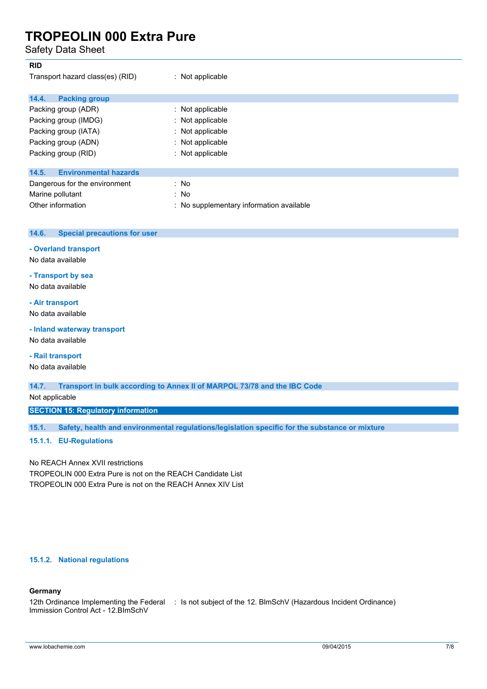Safety Data Sheet

| <b>RID</b>                            |                                          |
|---------------------------------------|------------------------------------------|
| Transport hazard class(es) (RID)      | $:$ Not applicable                       |
| 14.4.<br><b>Packing group</b>         |                                          |
| Packing group (ADR)                   | $:$ Not applicable                       |
| Packing group (IMDG)                  | : Not applicable                         |
| Packing group (IATA)                  | : Not applicable                         |
| Packing group (ADN)                   | : Not applicable                         |
| Packing group (RID)                   | : Not applicable                         |
| <b>Environmental hazards</b><br>14.5. |                                          |
| Dangerous for the environment         | : No                                     |
| Marine pollutant                      | : No                                     |
| Other information                     | : No supplementary information available |

| 14.6. | Special precautions for user |  |
|-------|------------------------------|--|
|       |                              |  |

#### **- Overland transport**

No data available

## **- Transport by sea**

No data available

## **- Air transport**

No data available

## **- Inland waterway transport**

No data available

## **- Rail transport**

No data available

**14.7. Transport in bulk according to Annex II of MARPOL 73/78 and the IBC Code**

Not applicable

**SECTION 15: Regulatory information**

**15.1. Safety, health and environmental regulations/legislation specific for the substance or mixture**

#### **15.1.1. EU-Regulations**

No REACH Annex XVII restrictions TROPEOLIN 000 Extra Pure is not on the REACH Candidate List TROPEOLIN 000 Extra Pure is not on the REACH Annex XIV List

#### **15.1.2. National regulations**

## **Germany**

12th Ordinance Implementing the Federal : Is not subject of the 12. BlmSchV (Hazardous Incident Ordinance)Immission Control Act - 12.BImSchV